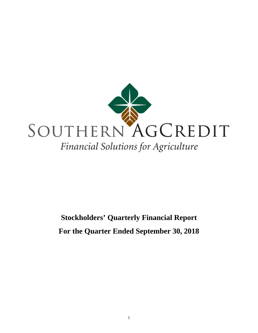

# **Stockholders' Quarterly Financial Report For the Quarter Ended September 30, 2018**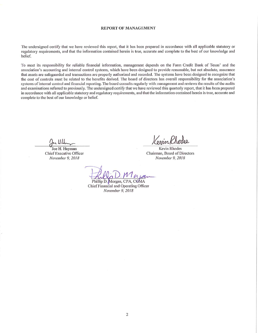### **REPORT OF MANAGEMENT**

The undersigned certify that we have reviewed this report, that it has been prepared in accordance with all applicable statutory or regulatory requirements, and that the information contained herein is true, accurate and complete to the best of our knowledge and belief.

To meet its responsibility for reliable financial information, management depends on the Farm Credit Bank of Texas' and the association's accounting and internal control systems, which have been designed to provide reasonable, but not absolute, assurance that assets are safeguarded and transactions are properly authorized and recorded. The systems have been designed to recognize that the cost of controls must be related to the benefits derived. The board of directors has overall responsibility for the association's systems of internal control and financial reporting. The board consults regularly with management and reviews the results of the audits and examinations referred to previously. The undersigned certify that we have reviewed this quarterly report, that it has been prepared in accordance with all applicable statutory and regulatory requirements, and that the information contained herein is true, accurate and complete to the best of our knowledge or belief.

1 H Hv

Joe H. Hayman **Chief Executive Officer** November 9, 2018

Kenin Rhoder

**Kevin Rhodes** Chairman, Board of Directors November 9, 2018

Phillip D. Morgan, CPA, CGMA Chief Financial and Operating Officer November 9, 2018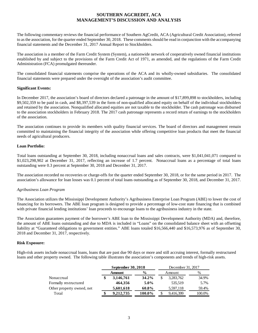# **SOUTHERN AGCREDIT, ACA MANAGEMENT'S DISCUSSION AND ANALYSIS**

The following commentary reviews the financial performance of Southern AgCredit, ACA (Agricultural Credit Association), referred to as the association, for the quarter ended September 30, 2018. These comments should be read in conjunction with the accompanying financial statements and the December 31, 2017 Annual Report to Stockholders.

The association is a member of the Farm Credit System (System), a nationwide network of cooperatively owned financial institutions established by and subject to the provisions of the Farm Credit Act of 1971, as amended, and the regulations of the Farm Credit Administration (FCA) promulgated thereunder.

The consolidated financial statements comprise the operations of the ACA and its wholly-owned subsidiaries. The consolidated financial statements were prepared under the oversight of the association's audit committee.

# **Significant Events:**

In December 2017, the association's board of directors declared a patronage in the amount of \$17,899,898 to stockholders, including \$9,502,359 to be paid in cash, and \$8,397,539 in the form of non-qualified allocated equity on behalf of the individual stockholders and retained by the association. Nonqualified allocated equities are not taxable to the stockholder. The cash patronage was disbursed to the association stockholders in February 2018. The 2017 cash patronage represents a record return of earnings to the stockholders of the association.

The association continues to provide its members with quality financial services. The board of directors and management remain committed to maintaining the financial integrity of the association while offering competitive loan products that meet the financial needs of agricultural producers.

## **Loan Portfolio:**

Total loans outstanding at September 30, 2018, including nonaccrual loans and sales contracts, were \$1,041,041,071 compared to \$1,023,298,902 at December 31, 2017, reflecting an increase of 1.7 percent. Nonaccrual loans as a percentage of total loans outstanding were 0.3 percent at September 30, 2018 and December 31, 2017.

The association recorded no recoveries or charge-offs for the quarter ended September 30, 2018, or for the same period in 2017. The association's allowance for loan losses was 0.1 percent of total loans outstanding as of September 30, 2018, and December 31, 2017.

### *Agribusiness Loan Program*

The Association utilizes the Mississippi Development Authority's Agribusiness Enterprise Loan Program (ABE) to lower the cost of financing for its borrowers. The ABE loan program is designed to provide a percentage of low-cost state financing that is combined with private financial lending institutions' loan proceeds to encourage loans to the agribusiness industry in the state.

The Association guarantees payment of the borrower's ABE loan to the Mississippi Development Authority (MDA) and, therefore, the amount of ABE loans outstanding and due to MDA is included in "Loans" on the consolidated balance sheet with an offsetting liability at "Guaranteed obligations to government entities." ABE loans totaled \$16,566,440 and \$16,573,976 as of September 30, 2018 and December 31, 2017, respectively.

# **Risk Exposure:**

High-risk assets include nonaccrual loans, loans that are past due 90 days or more and still accruing interest, formally restructured loans and other property owned. The following table illustrates the association's components and trends of high-risk assets.

|                           |                                | September 30, 2018 |         |    | December 31, 2017 |        |  |
|---------------------------|--------------------------------|--------------------|---------|----|-------------------|--------|--|
|                           | $\frac{0}{0}$<br><b>Amount</b> |                    |         |    | Amount            | %      |  |
| Nonaccrual                |                                | 3,146,761          | 34.2%   | \$ | 3,283,762         | 34.9%  |  |
| Formally restructured     |                                | 464.356            | $5.0\%$ |    | 535,519           | 5.7%   |  |
| Other property owned, net |                                | 5,601,618          | 60.8%   |    | 5,597,118         | 59.4%  |  |
| Total                     |                                | 9,212,735          | 100.0%  |    | 9,416,399         | 100.0% |  |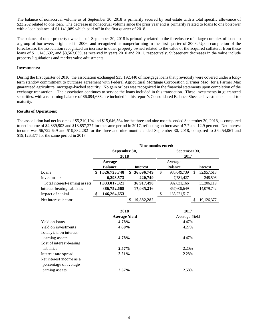The balance of nonaccrual volume as of September 30, 2018 is primarily secured by real estate with a total specific allowance of \$23,262 related to one loan. The decrease in nonaccrual volume since the prior year end is primarily related to loans to one borrower with a loan balance of \$1,141,089 which paid off in the first quarter of 2018.

The balance of other property owned as of September 30, 2018 is primarily related to the foreclosure of a large complex of loans to a group of borrowers originated in 2006, and recognized as nonperforming in the first quarter of 2008. Upon completion of the foreclosure, the association recognized an increase in other property owned related to the value of the acquired collateral from these loans of \$11,145,692, and \$8,563,039, as received in years 2010 and 2011, respectively. Subsequent decreases in the value include property liquidations and market value adjustments.

## **Investments:**

During the first quarter of 2010, the association exchanged \$35,192,440 of mortgage loans that previously were covered under a longterm standby commitment to purchase agreement with Federal Agricultural Mortgage Corporation (Farmer Mac) for a Farmer Mac guaranteed agricultural mortgage-backed security. No gain or loss was recognized in the financial statements upon completion of the exchange transaction. The association continues to service the loans included in this transaction. These investments in guaranteed securities, with a remaining balance of \$6,094,683, are included in this report's Consolidated Balance Sheet as investments – held-tomaturity.

### **Results of Operations:**

The association had net income of \$5,210,104 and \$15,646,564 for the three and nine months ended September 30, 2018, as compared to net income of \$4,839,903 and \$13,857,277 for the same period in 2017, reflecting an increase of 7.7 and 12.9 percent. Net interest income was \$6,722,649 and \$19,882,282 for the three and nine months ended September 30, 2018, compared to \$6,454,061 and \$19,126,377 for the same period in 2017.

|                               | Nine months ended:   |                  |               |             |    |            |  |
|-------------------------------|----------------------|------------------|---------------|-------------|----|------------|--|
|                               | September 30,        |                  | September 30, |             |    |            |  |
|                               | 2018                 |                  | 2017          |             |    |            |  |
|                               | Average              |                  |               | Average     |    |            |  |
|                               | <b>Balance</b>       | <b>Interest</b>  |               | Balance     |    | Interest   |  |
| Loans                         | \$1,026,723,748      | \$<br>36,696,749 | $\mathbb{S}$  | 985,049,739 | \$ | 32,957,613 |  |
| Investments                   | 6,293,573            | 220,749          |               | 7,781,427   |    | 248,506    |  |
| Total interest-earning assets | 1,033,017,321        | 36,917,498       |               | 992,831,166 |    | 33,206,119 |  |
| Interest-bearing liabilities  | 886,752,668          | 17,035,216       |               | 857,609,649 |    | 14,079,742 |  |
| Impact of capital             | 146,264,653<br>\$    |                  | \$            | 135,221,517 |    |            |  |
| Net interest income           |                      | 19,882,282<br>\$ |               |             | \$ | 19,126,377 |  |
|                               |                      |                  |               |             |    |            |  |
|                               | 2018                 |                  |               | 2017        |    |            |  |
|                               | <b>Average Yield</b> |                  | Average Yield |             |    |            |  |
| Yield on loans                | 4.78%                |                  | 4.47%         |             |    |            |  |
| Yield on investments          | 4.69%                |                  | 4.27%         |             |    |            |  |
| Total yield on interest-      |                      |                  |               |             |    |            |  |
| earning assets                | 4.78%                |                  |               | 4.47%       |    |            |  |
| Cost of interest-bearing      |                      |                  |               |             |    |            |  |
| liabilities                   | 2.57%                |                  |               | 2.20%       |    |            |  |
| Interest rate spread          | 2.21%                |                  |               | 2.28%       |    |            |  |
| Net interest income as a      |                      |                  |               |             |    |            |  |
| percentage of average         |                      |                  |               |             |    |            |  |
| earning assets                | 2.57%                |                  |               | 2.58%       |    |            |  |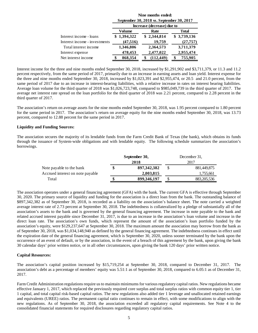|                               | Nine months ended:<br>September 30, 2018 vs. September 30, 2017 |                            |              |  |  |  |  |
|-------------------------------|-----------------------------------------------------------------|----------------------------|--------------|--|--|--|--|
|                               |                                                                 | Increase (decrease) due to |              |  |  |  |  |
|                               | Volume                                                          | Rate                       | <b>Total</b> |  |  |  |  |
| Interest income - loans       | \$1,394,322                                                     | \$2,344,814                | \$3,739,136  |  |  |  |  |
| Interest income - investments | (47,516)                                                        | 19,759                     | (27, 757)    |  |  |  |  |
| Total interest income         | 1,346,806                                                       | 2,364,573                  | 3,711,379    |  |  |  |  |
| Interest expense              | 478,453                                                         | 2,477,022                  | 2,955,474    |  |  |  |  |
| Net interest income           | 868,354                                                         | (112, 449)                 | 755,905      |  |  |  |  |

Interest income for the three and nine months ended September 30, 2018, increased by \$1,291,902 and \$3,711,379, or 11.3 and 11.2 percent respectively, from the same period of 2017, primarily due to an increase in earning assets and loan yield. Interest expense for the three and nine months ended September 30, 2018, increased by \$1,023,391 and \$2,955,474, or 20.5 and 21.0 percent, from the same period of 2017 due to an increase in interest-bearing liabilities, with a relative increase in rates on interest bearing liabilities. Average loan volume for the third quarter of 2018 was \$1,026,723,748, compared to \$985,049,739 in the third quarter of 2017. The average net interest rate spread on the loan portfolio for the third quarter of 2018 was 2.21 percent, compared to 2.28 percent in the third quarter of 2017.

The association's return on average assets for the nine months ended September 30, 2018, was 1.95 percent compared to 1.80 percent for the same period in 2017. The association's return on average equity for the nine months ended September 30, 2018, was 13.73 percent, compared to 12.88 percent for the same period in 2017.

## **Liquidity and Funding Sources:**

The association secures the majority of its lendable funds from the Farm Credit Bank of Texas (the bank), which obtains its funds through the issuance of System-wide obligations and with lendable equity. The following schedule summarizes the association's borrowings.

|                                  | September 30, |               | December 31. |               |  |
|----------------------------------|---------------|---------------|--------------|---------------|--|
|                                  |               | 2018          | 2017         |               |  |
| Note payable to the bank         |               | 897, 342, 382 |              | 881,449,875   |  |
| Accrued interest on note payable |               | 2,003,815     |              | 1,755,661     |  |
| Total                            | \$            | 899,346,197   | S            | 883, 205, 536 |  |

The association operates under a general financing agreement (GFA) with the bank. The current GFA is effective through September 30, 2020. The primary source of liquidity and funding for the association is a direct loan from the bank. The outstanding balance of \$897,342,382 as of September 30, 2018, is recorded as a liability on the association's balance sheet. The note carried a weighted average interest rate of 2.73 percent at September 30, 2018. The indebtedness is collateralized by a pledge of substantially all of the association's assets to the bank and is governed by the general financing agreement. The increase in note payable to the bank and related accrued interest payable since December 31, 2017, is due to an increase in the association's loan volume and increase in the direct loan rate. The association's own funds, which represent the amount of the association's loan portfolio funded by the association's equity, were \$129,237,647 at September 30, 2018. The maximum amount the association may borrow from the bank as of September 30, 2018, was \$1,034,148,940 as defined by the general financing agreement. The indebtedness continues in effect until the expiration date of the general financing agreement, which is September 30, 2020, unless sooner terminated by the bank upon the occurrence of an event of default, or by the association, in the event of a breach of this agreement by the bank, upon giving the bank 30 calendar days' prior written notice, or in all other circumstances, upon giving the bank 120 days' prior written notice.

### **Capital Resources:**

The association's capital position increased by \$15,719,254 at September 30, 2018, compared to December 31, 2017. The association's debt as a percentage of members' equity was 5.51:1 as of September 30, 2018, compared to 6.05:1 as of December 31, 2017.

Farm Credit Administration regulations require us to maintain minimums for various regulatory capital ratios. New regulations became effective January 1, 2017, which replaced the previously required core surplus and total surplus ratios with common equity tier 1, tier 1 capital, and total capital risk-based capital ratios. The new regulations also added tier 1 leverage and unallocated retained earnings and equivalents (UREE) ratios. The permanent capital ratio continues to remain in effect, with some modifications to align with the new regulations. As of September 30, 2018, the association exceeded all regulatory capital requirements. See Note 4 to the consolidated financial statements for required disclosures regarding regulatory capital ratios.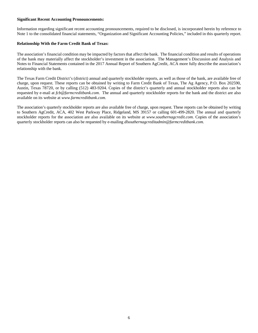# **Significant Recent Accounting Pronouncements:**

Information regarding significant recent accounting pronouncements, required to be disclosed, is incorporated herein by reference to Note 1 to the consolidated financial statements, "Organization and Significant Accounting Policies," included in this quarterly report.

## **Relationship With the Farm Credit Bank of Texas:**

The association's financial condition may be impacted by factors that affect the bank. The financial condition and results of operations of the bank may materially affect the stockholder's investment in the association. The Management's Discussion and Analysis and Notes to Financial Statements contained in the 2017 Annual Report of Southern AgCredit, ACA more fully describe the association's relationship with the bank.

The Texas Farm Credit District's (district) annual and quarterly stockholder reports, as well as those of the bank, are available free of charge, upon request. These reports can be obtained by writing to Farm Credit Bank of Texas, The Ag Agency, P.O. Box 202590, Austin, Texas 78720, or by calling (512) 483-9204. Copies of the district's quarterly and annual stockholder reports also can be requested by e-mail at *fcb@farmcreditbank.com*[.](mailto:ktankersley@farmcreditbank.com) The annual and quarterly stockholder reports for the bank and the district are also available on its website at *www.farmcreditbank.com.*

The association's quarterly stockholder reports are also available free of charge, upon request. These reports can be obtained by writing to Southern AgCredit, ACA, 402 West Parkway Place, Ridgeland, MS 39157 or calling 601-499-2820. The annual and quarterly stockholder reports for the association are also available on its website at *www.southernagcredit.com.* Copies of the association's quarterly stockholder reports can also be requested by e-mailing *dlsouthernagcreditadmin@farmcreditbank.com.*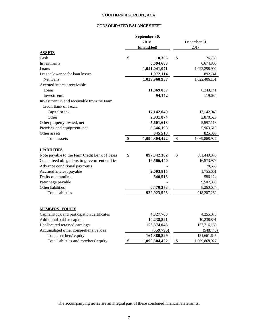# **SOUTHERN AGCREDIT, ACA**

# **CONSOLIDATED BALANCE SHEET**

|                                               | September 30,<br>2018<br>(unaudited) |               | December 31,<br>2017 |               |  |
|-----------------------------------------------|--------------------------------------|---------------|----------------------|---------------|--|
| <b>ASSETS</b><br>Cash                         | \$                                   | 10,305        | \$                   | 26,739        |  |
| Investments                                   |                                      | 6,094,683     |                      | 6,674,806     |  |
| Loans                                         |                                      | 1,041,041,071 |                      | 1,023,298,902 |  |
| Less: allowance for loan losses               |                                      | 1,072,114     |                      | 892,741       |  |
| Net loans                                     |                                      | 1,039,968,957 |                      | 1,022,406,161 |  |
| Accrued interest receivable                   |                                      |               |                      |               |  |
| Loans                                         |                                      | 11,069,057    |                      | 8,243,141     |  |
| Investments                                   |                                      | 94,172        |                      | 119,684       |  |
| Investment in and receivable from the Farm    |                                      |               |                      |               |  |
| Credit Bank of Texas:                         |                                      |               |                      |               |  |
| Capital stock                                 |                                      | 17,142,040    |                      | 17,142,040    |  |
| Other                                         |                                      | 2,931,874     |                      | 2,870,529     |  |
| Other property owned, net                     |                                      | 5,601,618     |                      | 5,597,118     |  |
| Premises and equipment, net                   |                                      | 6,546,198     |                      | 5,963,610     |  |
| Other assets                                  |                                      | 845,518       |                      | 825,099       |  |
| Total assets                                  | \$                                   | 1,090,304,422 | $\$$                 | 1,069,868,927 |  |
|                                               |                                      |               |                      |               |  |
| <b>LIABILITIES</b>                            |                                      |               |                      |               |  |
| Note payable to the Farm Credit Bank of Texas | \$                                   | 897,342,382   | \$                   | 881,449,875   |  |
| Guaranteed obligations to government entities |                                      | 16,566,440    |                      | 16,573,976    |  |
| Advance conditional payments                  |                                      |               |                      | 78,653        |  |
| Accrued interest payable                      |                                      | 2,003,815     |                      | 1,755,661     |  |
| Drafts outstanding                            |                                      | 540,513       |                      | 586,124       |  |
| Patronage payable                             |                                      |               |                      | 9,502,359     |  |
| Other liabilities                             |                                      | 6,470,373     |                      | 8,260,634     |  |
| <b>Total liabilities</b>                      |                                      | 922,923,523   |                      | 918, 207, 282 |  |
| <b>MEMBERS' EQUITY</b>                        |                                      |               |                      |               |  |
| Capital stock and participation certificates  |                                      | 4,327,760     |                      | 4,255,070     |  |
| Additional paid-in capital                    |                                      | 10,238,891    |                      | 10,238,891    |  |
| Unallocated retained earnings                 |                                      | 153,374,043   |                      | 137,716,130   |  |
| Accumulated other comprehensive loss          |                                      | (559,795)     |                      | (548, 446)    |  |
| Total members' equity                         |                                      | 167,380,899   |                      | 151,661,645   |  |
| Total liabilities and members' equity         | \$                                   | 1,090,304,422 | \$                   | 1,069,868,927 |  |

The accompanying notes are an integral part of these combined financial statements.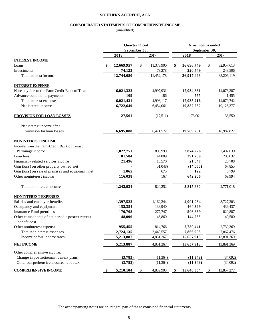# **SOUTHERN AGCREDIT, ACA**

# **CONSOLIDATED STATEMENTS OF COMPREHENSIVE INCOME**

(unaudited)

|                                                                 | <b>Quarter Ended</b><br>September 30, |            |    | Nine months ended<br>September 30, |    |            |    |            |
|-----------------------------------------------------------------|---------------------------------------|------------|----|------------------------------------|----|------------|----|------------|
|                                                                 |                                       |            |    |                                    |    |            |    |            |
|                                                                 |                                       | 2018       |    | 2017                               |    | 2018       |    | 2017       |
| <b>INTEREST INCOME</b>                                          |                                       |            |    |                                    |    |            |    |            |
| Loans                                                           | \$                                    | 12,669,957 | \$ | 11,378,900                         | \$ | 36,696,749 | \$ | 32,957,613 |
| Investments                                                     |                                       | 74,123     |    | 73,278                             |    | 220,749    |    | 248,506    |
| Total interest income                                           |                                       | 12,744,080 |    | 11,452,178                         |    | 36,917,498 |    | 33,206,119 |
| <b>INTEREST EXPENSE</b>                                         |                                       |            |    |                                    |    |            |    |            |
| Note payable to the Farm Credit Bank of Texas                   |                                       | 6,021,322  |    | 4,997,931                          |    | 17,034,661 |    | 14,078,287 |
| Advance conditional payments                                    |                                       | 109        |    | 186                                |    | 555        |    | 1,455      |
| Total interest expense                                          |                                       | 6,021,431  |    | 4,998,117                          |    | 17,035,216 |    | 14,079,742 |
| Net interest income                                             |                                       | 6,722,649  |    | 6,454,061                          |    | 19,882,282 |    | 19,126,377 |
| <b>PROVISION FOR LOAN LOSSES</b>                                |                                       | 27,561     |    | (17,511)                           |    | 173,001    |    | 138,550    |
| Net interest income after                                       |                                       |            |    |                                    |    |            |    |            |
| provision for loan losses                                       |                                       | 6,695,088  |    | 6,471,572                          |    | 19,709,281 |    | 18,987,827 |
| <b>NONINTEREST INCOME</b>                                       |                                       |            |    |                                    |    |            |    |            |
| Income from the Farm Credit Bank of Texas:                      |                                       |            |    |                                    |    |            |    |            |
| Patronage income                                                |                                       | 1,022,751  |    | 806,999                            |    | 2,874,226  |    | 2,402,630  |
| Loan fees                                                       |                                       | 81,584     |    | 44,889                             |    | 291,289    |    | 203,032    |
| Financially related services income                             |                                       | 21,496     |    | 18,570                             |    | 21,847     |    | 20,708     |
| Gain (loss) on other property owned, net                        |                                       |            |    | (51,048)                           |    | (14,060)   |    | 67,855     |
| Gain (loss) on sale of premises and equipment, net              |                                       | 1,065      |    | 675                                |    | 122        |    | 6,799      |
| Other noninterest income                                        |                                       | 116,038    |    | 167                                |    | 642,206    |    | 69,994     |
| Total noninterest income                                        |                                       | 1,242,934  |    | 820,252                            |    | 3,815,630  |    | 2,771,018  |
| <b>NONINTEREST EXPENSES</b>                                     |                                       |            |    |                                    |    |            |    |            |
| Salaries and employee benefits                                  |                                       | 1,397,522  |    | 1,162,244                          |    | 4,001,034  |    | 3,727,203  |
| Occupancy and equipment                                         |                                       | 152,354    |    | 138,940                            |    | 464,399    |    | 439,437    |
| Insurance Fund premiums                                         |                                       | 170,708    |    | 277,747                            |    | 506,839    |    | 820,887    |
| Other components of net periodic postretirement<br>benefit cost |                                       | 48,096     |    | 46,860                             |    | 144,285    |    | 140,580    |
| Other noninterest expense                                       |                                       | 955,455    |    | 814,766                            |    | 2,750,441  |    | 2,739,369  |
| Total noninterest expenses                                      |                                       | 2,724,135  |    | 2,440,557                          |    | 7,866,998  |    | 7,867,476  |
| Income before income taxes                                      |                                       | 5,213,887  |    | 4,851,267                          |    | 15,657,913 |    | 13,891,369 |
| <b>NET INCOME</b>                                               |                                       | 5,213,887  |    | 4,851,267                          |    | 15,657,913 |    | 13,891,369 |
| Other comprehensive income:                                     |                                       |            |    |                                    |    |            |    |            |
| Change in postretirement benefit plans                          |                                       | (3,783)    |    | (11, 364)                          |    | (11, 349)  |    | (34,092)   |
| Other comprehensive income, net of tax                          |                                       | (3,783)    |    | (11, 364)                          |    | (11, 349)  |    | (34,092)   |
| <b>COMPREHENSIVE INCOME</b>                                     | \$                                    | 5,210,104  | \$ | 4,839,903                          | \$ | 15,646,564 | \$ | 13,857,277 |

The accompanying notes are an integral part of these combined financial statements.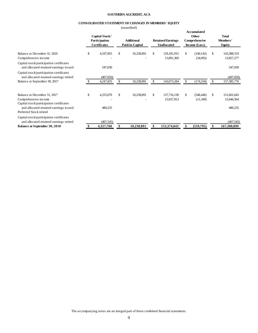#### **SOUTHERN AGCREDIT, ACA**

## **CONSOLIDATED STATEMENT OF CHANGES IN MEMBERS' EQUITY**

(unaudited)

|                                                                                     | Capital Stock/<br>Participation | <b>Additional</b> | <b>Retained Earnings</b> | Accumulated<br>Other<br>Comprehensive | <b>Total</b><br>Members' |
|-------------------------------------------------------------------------------------|---------------------------------|-------------------|--------------------------|---------------------------------------|--------------------------|
|                                                                                     | <b>Certificates</b>             | Paid-in-Capital   | <b>Unallocated</b>       | Income (Loss)                         | <b>Equity</b>            |
| Balance at December 31, 2016                                                        | \$<br>4,107,855                 | \$<br>10,238,891  | \$<br>129,181,915        | \$<br>(140, 142)                      | \$<br>143,388,519        |
| Comprehensive income                                                                |                                 |                   | 13,891,369               | (34,092)                              | 13,857,277               |
| Capital stock/participation certificates<br>and allocated retained earnings issued  | 547,030                         |                   |                          |                                       | 547,030                  |
| Capital stock/participation certificates<br>and allocated retained earnings retired | (407,050)                       |                   |                          |                                       | (407,050)                |
| Balance at September 30, 2017                                                       | 4,247,835                       | \$<br>10,238,891  | 143,073,284              | \$<br>(174, 234)                      | 157,385,776              |
| Balance at December 31, 2017                                                        | \$<br>4,255,070                 | \$<br>10,238,891  | \$<br>137,716,130        | \$<br>(548, 446)                      | \$<br>151,661,645        |
| Comprehensive income                                                                |                                 |                   | 15,657,913               | (11,349)                              | 15,646,564               |
| Capital stock/participation certificates<br>and allocated retained earnings issued  | 480,235                         |                   |                          |                                       | 480,235                  |
| Preferred Stock retired                                                             |                                 |                   |                          |                                       |                          |
| Capital stock/participation certificates<br>and allocated retained earnings retired | (407, 545)                      |                   |                          |                                       | (407, 545)               |
| <b>Balance at September 30, 2018</b>                                                | 4,327,760                       | 10,238,891        | 153,374,043              | \$<br>(559, 795)                      | 167,380,899              |

The accompanying notes are an integral part of these combined financial statements.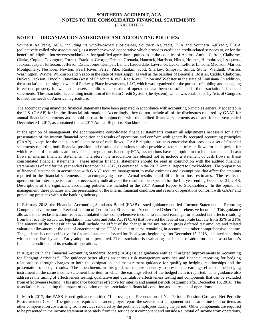## **SOUTHERN AGCREDIT, ACA NOTES TO THE CONSOLIDATED FINANCIAL STATEMENTS** (UNAUDITED)

# **NOTE 1 — ORGANIZATION AND SIGNIFICANT ACCOUNTING POLICIES:**

Southern AgCredit, ACA, including its wholly-owned subsidiaries, Southern AgCredit, PCA and Southern AgCredit, FLCA (collectively called "the association"), is a member-owned cooperative which provides credit and credit-related services to, or for the benefit of, eligible borrowers/stockholders for qualified agricultural purposes in the counties of Adams, Amite, Carroll, Claiborne, Clarke, Copiah, Covington, Forrest, Franklin, George, Greene, Grenada, Hancock, Harrison, Hinds, Holmes, Humphreys, Issaquena, Jackson, Jasper, Jefferson, Jefferson Davis, Jones, Kemper, Lamar, Lauderdale, Lawrence, Leake, Leflore, Lincoln, Madison, Marion, Montgomery, Neshoba, Newton, Pearl River, Perry, Pike, Rankin, Scott, Sharkey, Simpson, Smith, Stone, Walthall, Warren, Washington, Wayne, Wilkinson and Yazoo in the state of Mississippi, as well as the parishes of Bienville, Bossier, Caddo, Claiborne, DeSoto, Jackson, Lincoln, Ouachita (west of Ouachita River), Red River, Union and Webster in the state of Louisiana. In addition, the association is the single owner of Parkway Place Investments, LLC, which was organized for the purpose of holding and managing foreclosed property for which the assets, liabilities and results of operation have been consolidated in the association's financial statements. The association is a lending institution of the Farm Credit System (the System), which was established by Acts of Congress to meet the needs of American agriculture.

The accompanying unaudited financial statements have been prepared in accordance with accounting principles generally accepted in the U.S. (GAAP) for interim financial information. Accordingly, they do not include all of the disclosures required by GAAP for annual financial statements and should be read in conjunction with the audited financial statements as of and for the year ended December 31, 2017, as contained in the 2017 Annual Report to Stockholders.

In the opinion of management, the accompanying consolidated financial statements contain all adjustments necessary for a fair presentation of the interim financial condition and results of operations and conform with generally accepted accounting principles (GAAP), except for the inclusion of a statement of cash flows. GAAP require a business enterprise that provides a set of financial statements reporting both financial position and results of operations to also provide a statement of cash flows for each period for which results of operations are provided. In regulations issued by FCA, associations have the option to exclude statements of cash flows in interim financial statements. Therefore, the association has elected not to include a statement of cash flows in these consolidated financial statements. These interim financial statements should be read in conjunction with the audited financial statements as of and for the year ended December 31, 2017, as contained in the 2017 Annual Report to Stockholders. The preparation of financial statements in accordance with GAAP requires management to make estimates and assumptions that affect the amounts reported in the financial statements and accompanying notes. Actual results could differ from those estimates. The results of operations for interim periods are not necessarily indicative of the results to be expected for the full year ending December 31, 2018. Descriptions of the significant accounting policies are included in the 2017 Annual Report to Stockholders. In the opinion of management, these policies and the presentation of the interim financial condition and results of operations conform with GAAP and prevailing practices within the banking industry.

In February 2018, the Financial Accounting Standards Board (FASB) issued guidance entitled "Income Statement — Reporting Comprehensive Income — Reclassification of Certain Tax Effects from Accumulated Other Comprehensive Income." This guidance allows for the reclassification from accumulated other comprehensive income to retained earnings for stranded tax effects resulting from the recently issued tax legislation, Tax Cuts and Jobs Act (TCJA) that lowered the federal corporate tax rate from 35% to 21%. The amount of the reclassification shall include the effect of the change in the tax rate on gross deferred tax amounts and related valuation allowances at the date of enactment of the TCJA related to items remaining in accumulated other comprehensive income. The guidance becomes effective for financial statements issued for fiscal years beginning after December 15, 2018, and interim periods within those fiscal years. Early adoption is permitted. The association is evaluating the impact of adoption on the association's financial condition and its results of operations.

In August 2017, the Financial Accounting Standards Board (FASB) issued guidance entitled "Targeted Improvements to Accounting for Hedging Activities." The guidance better aligns an entity's risk management activities and financial reporting for hedging relationships through changes to both the designation and measurement guidance for qualifying hedging relationships and the presentation of hedge results. The amendments in this guidance require an entity to present the earnings effect of the hedging instrument in the same income statement line item in which the earnings effect of the hedged item is reported. This guidance also addresses the timing of effectiveness testing, qualitative and quantitative effectiveness testing and components that can be excluded from effectiveness testing. This guidance becomes effective for interim and annual periods beginning after December 15, 2018. The association is evaluating the impact of adoption on the association's financial condition and its results of operations.

In March 2017, the FASB issued guidance entitled "Improving the Presentation of Net Periodic Pension Cost and Net Periodic Postretirement Cost." The guidance requires that an employer report the service cost component in the same line item or items as other compensation costs arising from services rendered by the pertinent employees during the period. Other components are required to be presented in the income statement separately from the service cost component and outside a subtotal of income from operations,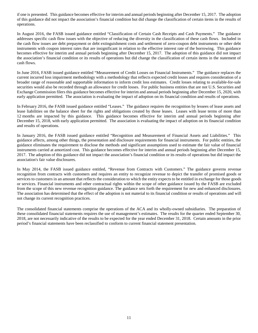if one is presented. This guidance becomes effective for interim and annual periods beginning after December 15, 2017. The adoption of this guidance did not impact the association's financial condition but did change the classification of certain items in the results of operations.

In August 2016, the FASB issued guidance entitled "Classification of Certain Cash Receipts and Cash Payments." The guidance addresses specific cash flow issues with the objective of reducing the diversity in the classification of these cash flows. Included in the cash flow issues are debt prepayment or debt extinguishment costs and settlement of zero-coupon debt instruments or other debt instruments with coupon interest rates that are insignificant in relation to the effective interest rate of the borrowing. This guidance becomes effective for interim and annual periods beginning after December 15, 2017. The adoption of this guidance did not impact the association's financial condition or its results of operations but did change the classification of certain items in the statement of cash flows.

In June 2016, FASB issued guidance entitled "Measurement of Credit Losses on Financial Instruments." The guidance replaces the current incurred loss impairment methodology with a methodology that reflects expected credit losses and requires consideration of a broader range of reasonable and supportable information to inform credit loss estimates. Credit losses relating to available-for-sale securities would also be recorded through an allowance for credit losses. For public business entities that are not U.S. Securities and Exchange Commission filers this guidance becomes effective for interim and annual periods beginning after December 15, 2020, with early application permitted. The association is evaluating the impact of adoption on its financial condition and results of operations.

In February 2016, the FASB issued guidance entitled "Leases." The guidance requires the recognition by lessees of lease assets and lease liabilities on the balance sheet for the rights and obligations created by those leases. Leases with lease terms of more than 12 months are impacted by this guidance. This guidance becomes effective for interim and annual periods beginning after December 15, 2018, with early application permitted. The association is evaluating the impact of adoption on its financial condition and results of operations.

In January 2016, the FASB issued guidance entitled "Recognition and Measurement of Financial Assets and Liabilities." This guidance affects, among other things, the presentation and disclosure requirements for financial instruments. For public entities, the guidance eliminates the requirement to disclose the methods and significant assumptions used to estimate the fair value of financial instruments carried at amortized cost. This guidance becomes effective for interim and annual periods beginning after December 15, 2017. The adoption of this guidance did not impact the association's financial condition or its results of operations but did impact the association's fair value disclosures.

In May 2014, the FASB issued guidance entitled, "Revenue from Contracts with Customers." The guidance governs revenue recognition from contracts with customers and requires an entity to recognize revenue to depict the transfer of promised goods or services to customers in an amount that reflects the consideration to which the entity expects to be entitled in exchange for those goods or services. Financial instruments and other contractual rights within the scope of other guidance issued by the FASB are excluded from the scope of this new revenue recognition guidance. The guidance sets forth the requirement for new and enhanced disclosures. The association has determined that the effect of the adoption is not material to its financial condition or results of operations and will not change its current recognition practices.

The consolidated financial statements comprise the operations of the ACA and its wholly-owned subsidiaries. The preparation of these consolidated financial statements requires the use of management's estimates. The results for the quarter ended September 30, 2018, are not necessarily indicative of the results to be expected for the year ended December 31, 2018. Certain amounts in the prior period's financial statements have been reclassified to conform to current financial statement presentation.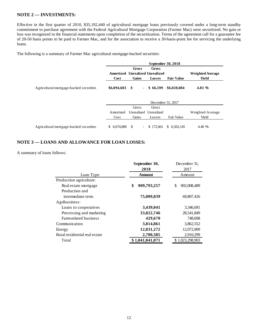# **NOTE 2 — INVESTMENTS:**

Effective in the first quarter of 2010, \$35,192,440 of agricultural mortgage loans previously covered under a long-term standby commitment to purchase agreement with the Federal Agricultural Mortgage Corporation (Farmer Mac) were securitized. No gain or loss was recognized in the financial statements upon completion of the securitization. Terms of the agreement call for a guarantee fee of 20-50 basis points to be paid to Farmer Mac, and for the association to receive a 30-basis-point fee for servicing the underlying loans.

The following is a summary of Farmer Mac agricultural mortgage-backed securities:

|                                         | September 30, 2018 |                                                   |                        |                   |                                  |  |  |
|-----------------------------------------|--------------------|---------------------------------------------------|------------------------|-------------------|----------------------------------|--|--|
|                                         | Cost               | Gross<br>Amortized Unrealized Unrealized<br>Gains | Gross<br><b>Losses</b> | <b>Fair Value</b> | <b>Weighted Average</b><br>Yield |  |  |
| Agricultural mortgage-backed securities | \$6,094,683        | \$<br>÷.                                          | \$66,599               | \$6,028,084       | 4.83 %                           |  |  |
|                                         |                    |                                                   | December 31, 2017      |                   |                                  |  |  |
|                                         |                    | Gross                                             | Gross                  |                   |                                  |  |  |
|                                         | Amortized<br>Cost  | Unrealized<br>Gains                               | Unrealized<br>Losses   | Fair Value        | Weighted Average<br>Yield        |  |  |
| Agricultural mortgage-backed securities | \$ 6,674,806       | -S<br>$\blacksquare$                              | \$172,661              | \$6,502,145       | 4.40 %                           |  |  |

# **NOTE 3 — LOANS AND ALLOWANCE FOR LOAN LOSSES:**

A summary of loans follows:

|                               | September 30,     | December 31,     |  |  |
|-------------------------------|-------------------|------------------|--|--|
|                               | 2018              | 2017             |  |  |
| Loan Type                     | <b>Amount</b>     | Amount           |  |  |
| Production agriculture:       |                   |                  |  |  |
| Real estate mortgage          | \$<br>909,793,257 | 902,008,489<br>S |  |  |
| Production and                |                   |                  |  |  |
| intermediate term             | 75,009,839        | 69,807,416       |  |  |
| Agribusiness:                 |                   |                  |  |  |
| Loans to cooperatives         | 3,439,041         | 3,346,691        |  |  |
| Processing and marketing      | 33,822,746        | 28,541,849       |  |  |
| Farm-related business         | 429,670           | 748,698          |  |  |
| Communication                 | 3,814,861         | 3,862,552        |  |  |
| Energy                        | 12,031,272        | 12,072,909       |  |  |
| Rural residential real estate | 2,700,385         | 2,910,299        |  |  |
| Total                         | \$1,041,041,071   | \$1,023,298,903  |  |  |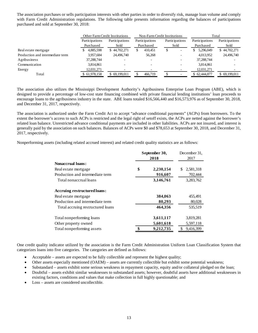The association purchases or sells participation interests with other parties in order to diversify risk, manage loan volume and comply with Farm Credit Administration regulations. The following table presents information regarding the balances of participations purchased and sold at September 30, 2018:

|                                  |                | <b>Other Farm Credit Institutions</b> |                | Non-Farm Credit Institutions | Total          |                |
|----------------------------------|----------------|---------------------------------------|----------------|------------------------------|----------------|----------------|
|                                  | Participations | Participations                        | Participations | Participations               | Participations | Participations |
|                                  | Purchased      | Sold                                  | Purchased      | Sold                         | Purchased      | Sold           |
| Real estate mortgage             | 4,885,598      | \$44,702,271                          | 410.451<br>S   |                              | 5,296,049      | \$44,702,271   |
| Production and intermediate term | 3.957.684      | 24,496,740                            | 56,268         |                              | 4.013.952      | 24,496,740     |
| Agribusiness                     | 37,288,744     |                                       |                |                              | 37,288,744     |                |
| Communication                    | 3,814,861      |                                       |                |                              | 3,814,861      |                |
| Energy                           | 12,031,271     |                                       |                |                              | 12,031,271     |                |
| Total                            | \$61,978,158   | \$69,199,011                          | 466,719        |                              | \$62,444,877   | \$69,199,011   |

The association also utilizes the Mississippi Development Authority's Agribusiness Enterprise Loan Program (ABE), which is designed to provide a percentage of low-cost state financing combined with private financial lending institutions' loan proceeds to encourage loans to the agribusiness industry in the state. ABE loans totaled \$16,566,440 and \$16,573,976 as of September 30, 2018, and December 31, 2017, respectively.

The association is authorized under the Farm Credit Act to accept "advance conditional payments" (ACPs) from borrowers. To the extent the borrower's access to such ACPs is restricted and the legal right of setoff exists, the ACPs are netted against the borrower's related loan balance. Unrestricted advance conditional payments are included in other liabilities. ACPs are not insured, and interest is generally paid by the association on such balances. Balances of ACPs were \$0 and \$78,653 at September 30, 2018, and December 31, 2017, respectively.

Nonperforming assets (including related accrued interest) and related credit quality statistics are as follows:

|                                   | September 30,<br>2018 |           | December 31,<br>2017 |  |
|-----------------------------------|-----------------------|-----------|----------------------|--|
| <b>Nonaccrual loans:</b>          |                       |           |                      |  |
| Real estate mortgage              | \$                    | 2,230,154 | 2,581,318<br>S       |  |
| Production and intermediate term  |                       | 916,607   | 702,444              |  |
| Total nonaccrual loans            |                       | 3,146,761 | 3,283,762            |  |
| Accruing restructured loans:      |                       |           |                      |  |
| Real estate mortgage              |                       | 384,063   | 455,491              |  |
| Production and intermediate term  |                       | 80,293    | 80,028               |  |
| Total accruing restructured loans |                       | 464,356   | 535,519              |  |
| Total nonperforming loans         |                       | 3,611,117 | 3,819,281            |  |
| Other property owned              |                       | 5,601,618 | 5,597,118            |  |
| Total nonperforming assets        |                       | 9,212,735 | 9,416,399            |  |

One credit quality indicator utilized by the association is the Farm Credit Administration Uniform Loan Classification System that categorizes loans into five categories. The categories are defined as follows:

- Acceptable assets are expected to be fully collectible and represent the highest quality;
- Other assets especially mentioned (OAEM) assets are currently collectible but exhibit some potential weakness;
- Substandard assets exhibit some serious weakness in repayment capacity, equity and/or collateral pledged on the loan;
- Doubtful assets exhibit similar weaknesses to substandard assets; however, doubtful assets have additional weaknesses in existing factors, conditions and values that make collection in full highly questionable; and
- Loss assets are considered uncollectible.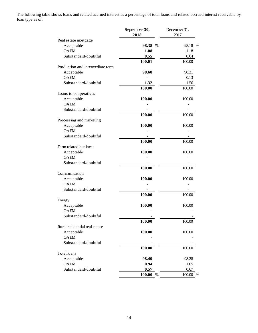The following table shows loans and related accrued interest as a percentage of total loans and related accrued interest receivable by loan type as of:

|                                  | September 30,  | December 31,   |
|----------------------------------|----------------|----------------|
|                                  | 2018           | 2017           |
| Real estate mortgage             |                |                |
| Acceptable                       | 98.38<br>$\%$  | 98.18 %        |
| <b>OAEM</b>                      | 1.08           | 1.18           |
| Substandard/doubtful             | 0.55           | 0.64           |
|                                  | 100.01         | 100.00         |
| Production and intermediate term |                |                |
| Acceptable                       | 98.68          | 98.31          |
| <b>OAEM</b>                      | ÷,             | 0.13           |
| Substandard/doubtful             | 1.32           | 1.56           |
|                                  | 100.00         | 100.00         |
| Loans to cooperatives            |                |                |
| Acceptable                       | 100.00         | 100.00         |
| <b>OAEM</b>                      |                |                |
| Substandard/doubtful             |                |                |
|                                  | 100.00         | 100.00         |
| Processing and marketing         |                |                |
| Acceptable                       | 100.00         | 100.00         |
| <b>OAEM</b>                      |                |                |
| Substandard/doubtful             |                |                |
|                                  | 100.00         | 100.00         |
| Farm-related business            |                |                |
| Acceptable                       | 100.00         | 100.00         |
| <b>OAEM</b>                      |                |                |
| Substandard/doubtful             |                |                |
|                                  | 100.00         | 100.00         |
| Communication                    |                |                |
| Acceptable                       | 100.00         | 100.00         |
| <b>OAEM</b>                      |                |                |
| Substandard/doubtful             |                |                |
|                                  | 100.00         | 100.00         |
| Energy                           |                |                |
| Acceptable                       | 100.00         | 100.00         |
| <b>OAEM</b>                      |                |                |
| Substandard/doubtful             |                |                |
|                                  | 100.00         | 100.00         |
| Rural residential real estate    |                |                |
| Acceptable                       | 100.00         | 100.00         |
| <b>OAEM</b>                      |                |                |
| Substandard/doubtful             |                |                |
|                                  |                |                |
| Total loans                      | 100.00         | 100.00         |
|                                  | 98.49          |                |
| Acceptable<br><b>OAEM</b>        | 0.94           | 98.28<br>1.05  |
| Substandard/doubtful             |                |                |
|                                  | 0.57           | 0.67           |
|                                  | 100.00<br>$\%$ | $\%$<br>100.00 |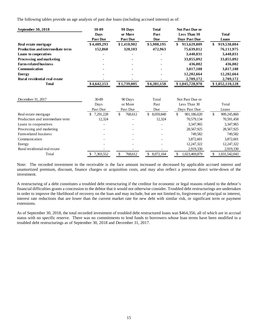The following tables provide an age analysis of past due loans (including accrued interest) as of:

| September 30, 2018                      | 30-89           | 90 Days         | <b>Total</b>    | <b>Not Past Due or</b> |                     |
|-----------------------------------------|-----------------|-----------------|-----------------|------------------------|---------------------|
|                                         | <b>Days</b>     | or More         | Past            | Less Than 30           | <b>Total</b>        |
|                                         | <b>Past Due</b> | <b>Past Due</b> | <b>Due</b>      | Days Past Due          | Loans               |
| Real estate mortgage                    | \$4,489,293     | \$1,418,902     | \$5,908,195     | \$<br>913,629,809      | \$<br>919,538,004   |
| <b>Production and intermediate term</b> | 152,860         | 320,103         | 472,963         | 75,639,012             | 76,111,975          |
| Loans to cooperatives                   |                 |                 |                 | 3,440,031              | 3,440,031           |
| Processing and marketing                |                 |                 |                 | 33,855,092             | 33,855,092          |
| <b>Farm-related business</b>            |                 |                 |                 | 436,002                | 436,002             |
| Communication                           |                 |                 |                 | 3,817,188              | 3,817,188           |
| <b>Energy</b>                           |                 |                 |                 | 12,202,664             | 12,202,664          |
| Rural residential real estate           |                 |                 |                 | 2,709,172              | 2,709,172           |
| <b>Total</b>                            | \$4,642,153     | \$1,739,005     | \$6,381,158     | \$1,045,728,970        | \$1,052,110,128     |
| December 31, 2017                       | 30-89           | 90 Days         | Total           | Not Past Due or        |                     |
|                                         | Days            | or More         | Past            | Less Than 30           | Total               |
|                                         | Past Due        | Past Due        | Due             | Days Past Due          | Loans               |
| Real estate mortgage                    | 7,291,228<br>\$ | \$<br>768,612   | \$<br>8,059,840 | \$<br>901,186,020      | \$.<br>909,245,860  |
| Production and intermediate term        | 12,324          |                 | 12,324          | 70,579,134             | 70,591,458          |
| Loans to cooperatives                   |                 |                 |                 | 3,347,965              | 3,347,965           |
| Processing and marketing                |                 |                 |                 | 28,567,925             | 28,567,925          |
| Farm-related business                   |                 |                 |                 | 749,582                | 749,582             |
| Communication                           |                 |                 |                 | 3,872,601              | 3,872,601           |
| Energy                                  |                 |                 |                 | 12,247,322             | 12,247,322          |
| Rural residential real estate           |                 |                 |                 | 2,919,330              | 2,919,330           |
| Total                                   | \$ 7,303,552    | \$<br>768,612   | \$8,072,164     | \$<br>1,023,469,879    | \$<br>1.031.542.043 |

Note: The recorded investment in the receivable is the face amount increased or decreased by applicable accrued interest and unamortized premium, discount, finance charges or acquisition costs, and may also reflect a previous direct write-down of the investment.

A restructuring of a debt constitutes a troubled debt restructuring if the creditor for economic or legal reasons related to the debtor's financial difficulties grants a concession to the debtor that it would not otherwise consider. Troubled debt restructurings are undertaken in order to improve the likelihood of recovery on the loan and may include, but are not limited to, forgiveness of principal or interest, interest rate reductions that are lower than the current market rate for new debt with similar risk, or significant term or payment extensions.

As of September 30, 2018, the total recorded investment of troubled debt restructured loans was \$464,356, all of which are in accrual status with no specific reserve. There was no commitments to lend funds to borrowers whose loan terms have been modified in a troubled debt restructurings as of September 30, 2018 and December 31, 2017.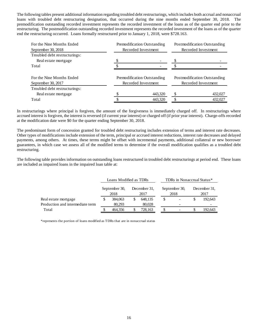The following tables present additional information regarding troubled debt restructurings, which includes both accrual and nonaccrual loans with troubled debt restructuring designation, that occurred during the nine months ended September 30, 2018. The premodification outstanding recorded investment represents the recorded investment of the loans as of the quarter end prior to the restructuring. The postmodification outstanding recorded investment represents the recorded investment of the loans as of the quarter end the restructuring occurred. Loans formally restructured prior to January 1, 2018, were \$728.163.

| For the Nine Months Ended<br>September 30, 2018 | Premodification Outstanding<br>Recorded Investment | Postmodification Outstanding<br>Recorded Investment |                              |  |  |
|-------------------------------------------------|----------------------------------------------------|-----------------------------------------------------|------------------------------|--|--|
| Troubled debt restructurings:                   |                                                    |                                                     |                              |  |  |
| Real estate mortgage<br>Total                   |                                                    |                                                     |                              |  |  |
| For the Nine Months Ended                       | Premodification Outstanding                        |                                                     | Postmodification Outstanding |  |  |
| September 30, 2017                              | Recorded Investment                                |                                                     | Recorded Investment          |  |  |
| Troubled debt restructurings:                   |                                                    |                                                     |                              |  |  |
| Real estate mortgage                            | 443,320                                            |                                                     | 432,027                      |  |  |
| Total                                           | 443,320                                            |                                                     | 432,027                      |  |  |

In restructurings where principal is forgiven, the amount of the forgiveness is immediately charged off. In restructurings where accrued interest is forgiven, the interest is reversed (if current year interest) or charged off (if prior year interest). Charge-offs recorded at the modification date were \$0 for the quarter ending September 30, 2018.

The predominant form of concession granted for troubled debt restructuring includes extension of terms and interest rate decreases. Other types of modifications include extension of the term, principal or accrued interest reductions, interest rate decreases and delayed payments, among others. At times, these terms might be offset with incremental payments, additional collateral or new borrower guarantees, in which case we assess all of the modified terms to determine if the overall modification qualifies as a troubled debt restructuring.

The following table provides information on outstanding loans restructured in troubled debt restructurings at period end. These loans are included as impaired loans in the impaired loan table at:

|                                  | Loans Modified as TDRs |  |                      |    | TDRs in Nonaccrual Status* |  |                      |  |
|----------------------------------|------------------------|--|----------------------|----|----------------------------|--|----------------------|--|
|                                  | September 30,<br>2018  |  | December 31.<br>2017 |    | September 30,<br>2018      |  | December 31.<br>2017 |  |
| Real estate mortgage             | 384,063                |  | 648,135              | \$ |                            |  | 192,643              |  |
| Production and intermediate term | 80.293                 |  | 80,028               |    |                            |  |                      |  |
| Total                            | 464.356                |  | 728,163              |    |                            |  | 192,643              |  |

\*represents the portion of loans modified as TDRs that are in nonaccrual status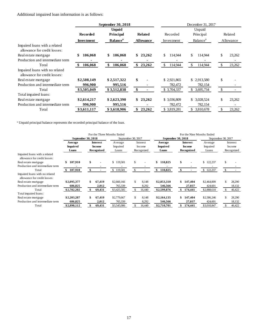Additional impaired loan information is as follows:

|                                                                |                   | September 30, 2018          |                  | December 31, 2017        |                             |               |           |  |
|----------------------------------------------------------------|-------------------|-----------------------------|------------------|--------------------------|-----------------------------|---------------|-----------|--|
|                                                                |                   | <b>Unpaid</b>               |                  |                          | Unpaid                      |               |           |  |
|                                                                | <b>Recorded</b>   | Principal                   | <b>Related</b>   | Recorded                 | Principal                   |               | Related   |  |
|                                                                | <b>Investment</b> | <b>Balance</b> <sup>a</sup> | <b>Allowance</b> | Investment               | <b>Balance</b> <sup>a</sup> |               | Allowance |  |
| Impaired loans with a related<br>allowance for credit losses:  |                   |                             |                  |                          |                             |               |           |  |
| Real estate mortgage                                           | \$<br>106,068     | \$<br>106,068               | \$23,262         | \$.<br>114,944           | \$<br>114,944               | \$            | 23,262    |  |
| Production and intermediate term                               |                   |                             |                  |                          |                             |               |           |  |
| Total                                                          | 106,068<br>-S     | 106,068<br>\$               | \$<br>23,262     | <sup>\$</sup><br>114,944 | \$<br>114,944               | <sup>\$</sup> | 23,262    |  |
| Impaired loans with no related<br>allowance for credit losses: |                   |                             |                  |                          |                             |               |           |  |
| Real estate mortgage                                           | \$2,508,149       | \$2,517,322                 | \$               | \$2,921,865              | \$2,913,580                 | \$            |           |  |
| Production and intermediate term                               | 996,900           | 995,516                     |                  | 782,472                  | 782,154                     |               |           |  |
| Total                                                          | \$3,505,049       | \$3,512,838                 | \$               | \$3,704,337              | \$3,695,734                 | $\mathbb{S}$  |           |  |
| Total impaired loans:                                          |                   |                             |                  |                          |                             |               |           |  |
| Real estate mortgage                                           | \$2,614,217       | \$2,623,390                 | \$23,262         | \$3,036,809              | \$ 3,028,524                | \$            | 23,262    |  |
| Production and intermediate term                               | 996,900           | 995,516                     |                  | 782,472                  | 782,154                     |               |           |  |
| Total                                                          | \$3,611,117       | \$3,618,906                 | \$<br>23,262     | \$ 3,819,281             | \$ 3,810,678                | \$            | 23,262    |  |
|                                                                |                   |                             |                  |                          |                             |               |           |  |

<sup>a</sup> Unpaid principal balance represents the recorded principal balance of the loan.

|                                                                |                            |                                  | For the Three Months Ended |                    |                     | For the Nine Months Ended        |                     |                    |  |  |  |
|----------------------------------------------------------------|----------------------------|----------------------------------|----------------------------|--------------------|---------------------|----------------------------------|---------------------|--------------------|--|--|--|
|                                                                |                            | September 30, 2018               |                            | September 30, 2017 |                     | September 30, 2018               |                     | September 30, 2017 |  |  |  |
|                                                                | Average<br><b>Impaired</b> | <b>Interest</b><br><b>Income</b> | Average<br>Impaired        | Interest<br>Income | Average<br>Impaired | <b>Interest</b><br><b>Income</b> | Average<br>Impaired | Interest<br>Income |  |  |  |
| Impaired loans with a related<br>allowance for credit losses:  | Loans                      | Recognized                       | Loans                      | Recognized         | Loans               | Recognized                       | Loans               | Recognized         |  |  |  |
| Real estate mortgage                                           | \$<br>107,910              | \$                               | \$119,501                  | \$                 | \$<br>110,825       | \$                               | \$<br>122,237       | \$                 |  |  |  |
| Production and intermediate term                               |                            |                                  |                            |                    |                     |                                  |                     |                    |  |  |  |
| Total                                                          | 107,910                    | \$                               | \$<br>119,501              |                    | 110,825<br>\$       | S                                | \$<br>122,237       |                    |  |  |  |
| Impaired loans with no related<br>allowance for credit losses: |                            |                                  |                            |                    |                     |                                  |                     |                    |  |  |  |
| Real estate mortgage                                           | \$2,095,377                | \$<br>67,419                     | \$2,660,166                | \$.<br>8,148       | \$2,053,310         | \$<br>147,404                    | \$2,464,009         | 28,290             |  |  |  |
| Production and intermediate term                               | 686,825                    | 2,012                            | 765,339                    | 8,292              | 546,566             | 27,037                           | 424,601             | 18,132             |  |  |  |
| Total                                                          | \$2,782,202                | 69,431                           | \$3,425,505                | 16,440             | \$2,599,876         | 174,441                          | \$2,888,610         | 46,422             |  |  |  |
| Total impaired loans:                                          |                            |                                  |                            |                    |                     |                                  |                     |                    |  |  |  |
| Real estate mortgage                                           | \$2,203,287                | \$<br>67,419                     | \$2,779,667                | \$.<br>8,148       | \$2,164,135         | \$<br>147,404                    | \$2,586,246         | 28,290             |  |  |  |
| Production and intermediate term                               | 686,825                    | 2,012                            | 765,339                    | 8,292              | 546,566             | 27,037                           | 424,601             | 18,132             |  |  |  |
| Total                                                          | \$2,890,112                | 69,431                           | \$3,545,006                | 16,440             | \$2,710,701         | 174,441                          | \$3,010,847         | 46,422             |  |  |  |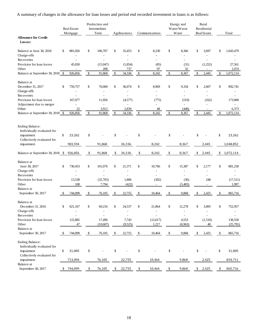A summary of changes in the allowance for loan losses and period end recorded investment in loans is as follows:

|                                           |    | Real Estate<br>Mortgage | Production and<br>Intermediate<br>Term | Agribusiness        |              | Communications           |      | Energy and<br>Water/Waste<br>Water | Rural<br>Residential<br>Real Estate | Total                    |
|-------------------------------------------|----|-------------------------|----------------------------------------|---------------------|--------------|--------------------------|------|------------------------------------|-------------------------------------|--------------------------|
| <b>Allowance for Credit</b><br>Losses:    |    |                         |                                        |                     |              |                          |      |                                    |                                     |                          |
| Balance at June 30, 2018                  | \$ | 881,026                 | \$<br>106,707                          | \$<br>35,453        | \$           | 8,230                    | \$   | 8,366                              | \$<br>3,697                         | \$<br>1,043,479          |
| Charge-offs                               |    |                         |                                        |                     |              |                          |      |                                    |                                     |                          |
| Recoveries                                |    |                         | ÷,                                     | L,                  |              | $\overline{a}$           |      | ٠                                  | ٠                                   |                          |
| Provision for loan losses                 |    | 45,830                  | (15,047)                               | (1,854)             |              | (85)                     |      | (31)                               | (1,252)                             | 27,561                   |
| Other<br>Balance at September 30, 2018 \$ |    | 926,856                 | \$<br>208<br>91,868                    | \$<br>737<br>34,336 | $\mathbb{S}$ | 97<br>8,242              | $\$$ | 32<br>8,367                        | \$<br>2,445                         | \$<br>1,074<br>1,072,114 |
|                                           |    |                         |                                        |                     |              |                          |      |                                    |                                     |                          |
| Balance at                                |    |                         |                                        |                     |              |                          |      |                                    |                                     |                          |
| December 31, 2017                         | \$ | 759,757                 | \$<br>76,000                           | \$<br>36,074        | \$           | 8,969                    | \$   | 9,334                              | \$<br>2,607                         | \$<br>892,741            |
| Charge-offs                               |    |                         | $\overline{\phantom{a}}$               | $\overline{a}$      |              |                          |      |                                    |                                     |                          |
| Recoveries                                |    |                         | ä,                                     | $\overline{a}$      |              | $\overline{a}$           |      | ä,                                 | L.                                  |                          |
| Provision for loan losses                 |    | 167,077                 | 11,956                                 | (4,577)             |              | (775)                    |      | (519)                              | (162)                               | 173,000                  |
| Adjustment due to merger                  |    |                         | L.                                     | L,                  |              |                          |      | L,                                 |                                     |                          |
| Other                                     |    | 22<br>926,856           | \$<br>3,912<br>91,868                  | \$<br>2,839         | \$           | 48<br>8,242              | \$   | (448)                              | \$<br>2,445                         | \$<br>6,373<br>1,072,114 |
| Balance at September 30, 2018 \$          |    |                         |                                        | 34,336              |              |                          |      | 8,367                              |                                     |                          |
| <b>Ending Balance:</b>                    |    |                         |                                        |                     |              |                          |      |                                    |                                     |                          |
| Individually evaluated for                |    |                         |                                        |                     |              |                          |      |                                    |                                     |                          |
| impairment                                | \$ | 23,262                  | \$                                     | \$                  | \$           |                          | \$   |                                    | \$                                  | \$<br>23,262             |
| Collectively evaluated for                |    |                         |                                        |                     |              |                          |      |                                    |                                     |                          |
| impairment                                |    | 903,594                 | 91,868                                 | 34,336              |              | 8,242                    |      | 8,367                              | 2,445                               | 1,048,852                |
| Balance at September 30, 2018 \$          |    | 926,856                 | \$<br>91,868                           | \$<br>34,336        | \$           | 8,242                    | \$   | 8,367                              | \$<br>2,445                         | \$<br>1,072,114          |
| Balance at                                |    |                         |                                        |                     |              |                          |      |                                    |                                     |                          |
| June 30, 2017                             | \$ | 730,453                 | \$<br>101,076                          | \$<br>21,371        | \$           | 10,766                   | \$   | 15,387                             | \$<br>2,177                         | \$<br>881,230            |
| Charge-offs                               |    |                         |                                        |                     |              |                          |      |                                    | $\overline{\phantom{0}}$            |                          |
| Recoveries                                |    | ٠                       |                                        | L.                  |              | $\overline{a}$           |      | ٠                                  | ٠                                   |                          |
| Provision for loan losses                 |    | 13,538                  | (32,765)                               | 1,806               |              | (302)                    |      | (36)                               | 248                                 | (17,511)                 |
| Other                                     |    | 108                     | 7,794                                  | (422)               |              | $\overline{\phantom{a}}$ |      | (5,483)                            | $\overline{\phantom{a}}$            | 1,997                    |
| Balance at                                |    |                         |                                        |                     |              |                          |      |                                    |                                     |                          |
| September 30, 2017                        | S  | 744,099                 | \$<br>76,105                           | \$<br>22,755        | \$           | 10,464                   | \$   | 9,868                              | \$<br>2,425                         | \$<br>865,716            |
| Balance at                                |    |                         |                                        |                     |              |                          |      |                                    |                                     |                          |
| December 31, 2016                         | \$ | 621,167                 | \$<br>69,216                           | \$<br>24,537        | \$           | 21,864                   | \$   | 12,278                             | \$<br>3,895                         | \$<br>752,957            |
| Charge-offs                               |    | ÷,                      | ÷,                                     | L,                  |              |                          |      | ÷,                                 | ÷                                   | $\overline{\phantom{a}}$ |
| Recoveries                                |    |                         |                                        |                     |              |                          |      |                                    |                                     |                          |
| Provision for loan losses                 |    | 122,885                 | 17,496                                 | 7,743               |              | (12, 617)                |      | 4,553                              | (1,510)                             | 138,550                  |
| Other                                     |    | 47                      | (10,607)                               | (9,525)             |              | 1,217                    |      | (6,963)                            | 40                                  | (25,791)                 |
| Balance at                                |    |                         |                                        |                     |              |                          |      |                                    |                                     |                          |
| September 30, 2017                        | \$ | 744,099                 | \$<br>76,105                           | \$<br>22,755        | \$           | 10,464                   | \$   | 9,868                              | \$<br>2,425                         | \$<br>865,716            |
| <b>Ending Balance:</b>                    |    |                         |                                        |                     |              |                          |      |                                    |                                     |                          |
| Individually evaluated for                |    |                         |                                        |                     |              |                          |      |                                    |                                     |                          |
| impairment                                | \$ | 31,005                  | \$                                     | \$                  | \$           |                          | \$   |                                    | \$                                  | \$<br>31,005             |
| Collectively evaluated for                |    |                         |                                        |                     |              |                          |      |                                    |                                     |                          |
| impairment<br>Balance at                  |    | 713,094                 | 76,105                                 | 22,755              |              | 10,464                   |      | 9,868                              | 2,425                               | 834,711                  |
| September 30, 2017                        | \$ | 744,099                 | \$<br>76,105                           | \$<br>22,755        | \$           | 10,464                   | \$   | 9,868                              | \$2,425                             | \$<br>865,716            |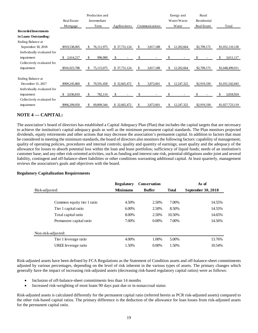|                             |                    | Production and   |               |                 | Energy and       | Rural       |                 |
|-----------------------------|--------------------|------------------|---------------|-----------------|------------------|-------------|-----------------|
|                             | <b>Real Estate</b> | Intermediate     |               |                 | Water/Waste      | Residential |                 |
|                             | Mortgage           | Term             | Agribusiness  | Communications  | Water            | Real Estate | Total           |
| <b>Recorded Investments</b> |                    |                  |               |                 |                  |             |                 |
| in Loans Outstanding:       |                    |                  |               |                 |                  |             |                 |
| Ending Balance at           |                    |                  |               |                 |                  |             |                 |
| September 30, 2018          | \$919,538,005      | 76,111,975<br>S  | \$ 37,731,124 | 3,817,188<br>\$ | 12,202,664<br>S  | \$2,709,172 | \$1,052,110,128 |
| Individually evaluated for  |                    |                  |               |                 |                  |             |                 |
| impairment                  | 2,614,217<br>S     | \$<br>996,900    | \$            | S               |                  |             | 3,611,117       |
| Collectively evaluated for  |                    |                  |               |                 |                  |             |                 |
| impairment                  | \$916,923,788      | 75,115,075<br>\$ | \$37,731,124  | \$<br>3,817,188 | 12,202,664<br>\$ | \$2,709,172 | \$1,048,499,011 |
|                             |                    |                  |               |                 |                  |             |                 |
| Ending Balance at           |                    |                  |               |                 |                  |             |                 |
| December 31, 2017           | \$909,245,860      | 70,591,458<br>\$ | \$32,665,472  | \$<br>3,872,601 | \$<br>12,247,322 | \$2,919,330 | \$1,031,542,043 |
| Individually evaluated for  |                    |                  |               |                 |                  |             |                 |
| impairment                  | 3,036,810<br>S     | \$<br>782,114    | \$            |                 |                  |             | 3,818,924       |
| Collectively evaluated for  |                    |                  |               |                 |                  |             |                 |
| impairment                  | \$906,209,050      | 69,809,344<br>\$ | \$32,665,472  | 3,872,601<br>S. | 12,247,322<br>\$ | \$2,919,330 | \$1,027,723,119 |
|                             |                    |                  |               |                 |                  |             |                 |

# **NOTE 4 –– CAPITAL:**

The association's board of directors has established a Capital Adequacy Plan (Plan) that includes the capital targets that are necessary to achieve the institution's capital adequacy goals as well as the minimum permanent capital standards. The Plan monitors projected dividends, equity retirements and other actions that may decrease the association's permanent capital. In addition to factors that must be considered in meeting the minimum standards, the board of directors also monitors the following factors: capability of management; quality of operating policies, procedures and internal controls; quality and quantity of earnings; asset quality and the adequacy of the allowance for losses to absorb potential loss within the loan and lease portfolios; sufficiency of liquid funds; needs of an institution's customer base; and any other risk-oriented activities, such as funding and interest rate risk, potential obligations under joint and several liability, contingent and off-balance-sheet liabilities or other conditions warranting additional capital. At least quarterly, management reviews the association's goals and objectives with the board.

### **Regulatory Capitalization Requirements**

| <b>Regulatory</b> | <b>Conservation</b> |              | As of              |
|-------------------|---------------------|--------------|--------------------|
| <b>Minimums</b>   | <b>Buffer</b>       | <b>Total</b> | September 30, 2018 |
|                   |                     |              |                    |
| 4.50%             | 2.50%               | 7.00%        | 14.55%             |
| $6.00\%$          | 2.50%               | 8.50%        | 14.55%             |
| 8.00%             | 2.50%               | 10.50%       | 14.65%             |
| 7.00%             | $0.00\%$            | 7.00%        | 14.56%             |
|                   |                     |              |                    |
|                   |                     |              |                    |
| 4.00%             | 1.00%               | 5.00%        | 13.76%             |
| 1.50%             | $0.00\%$            | 1.50%        | 10.54%             |
|                   |                     |              |                    |

Risk-adjusted assets have been defined by FCA Regulations as the Statement of Condition assets and off-balance-sheet commitments adjusted by various percentages, depending on the level of risk inherent in the various types of assets. The primary changes which generally have the impact of increasing risk-adjusted assets (decreasing risk-based regulatory capital ratios) were as follows:

- Inclusion of off-balance-sheet commitments less than 14 months
- Increased risk-weighting of most loans 90 days past due or in nonaccrual status

Risk-adjusted assets is calculated differently for the permanent capital ratio (referred herein as PCR risk-adjusted assets) compared to the other risk-based capital ratios. The primary difference is the deduction of the allowance for loan losses from risk-adjusted assets for the permanent capital ratio.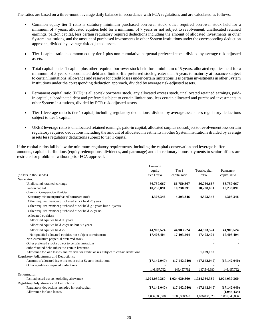The ratios are based on a three-month average daily balance in accordance with FCA regulations and are calculated as follows:

- Common equity tier 1 ratio is statutory minimum purchased borrower stock, other required borrower stock held for a minimum of 7 years, allocated equities held for a minimum of 7 years or not subject to revolvement, unallocated retained earnings, paid-in capital, less certain regulatory required deductions including the amount of allocated investments in other System institutions, and the amount of purchased investments in other System institutions under the corresponding deduction approach, divided by average risk-adjusted assets.
- Tier 1 capital ratio is common equity tier 1 plus non-cumulative perpetual preferred stock, divided by average risk-adjusted assets.
- Total capital is tier 1 capital plus other required borrower stock held for a minimum of 5 years, allocated equities held for a minimum of 5 years, subordinated debt and limited-life preferred stock greater than 5 years to maturity at issuance subject to certain limitations, allowance and reserve for credit losses under certain limitations less certain investments in other System institutions under the corresponding deduction approach, divided by average risk-adjusted assets.
- Permanent capital ratio (PCR) is all at-risk borrower stock, any allocated excess stock, unallocated retained earnings, paidin capital, subordinated debt and preferred subject to certain limitations, less certain allocated and purchased investments in other System institutions, divided by PCR risk-adjusted assets.
- Tier 1 leverage ratio is tier 1 capital, including regulatory deductions, divided by average assets less regulatory deductions subject to tier 1 capital.
- UREE leverage ratio is unallocated retained earnings, paid-in capital, allocated surplus not subject to revolvement less certain regulatory required deductions including the amount of allocated investments in other System institutions divided by average assets less regulatory deductions subject to tier 1 capital.

If the capital ratios fall below the minimum regulatory requirements, including the capital conservation and leverage buffer amounts, capital distributions (equity redemptions, dividends, and patronage) and discretionary bonus payments to senior offices are restricted or prohibited without prior FCA approval.

|                                                                                        | Common         |                |                |                |
|----------------------------------------------------------------------------------------|----------------|----------------|----------------|----------------|
|                                                                                        | equity         | Tier 1         | Total capital  | Permanent      |
| (dollars in thousands)                                                                 | tier 1 ratio   | capital ratio  | ratio          | capital ratio  |
| Numerator:                                                                             |                |                |                |                |
| Unallocated retained earnings                                                          | 86,750,667     | 86,750,667     | 86,750,667     | 86,750,667     |
| Paid-in capital                                                                        | 10,238,891     | 10,238,891     | 10,238,891     | 10,238,891     |
| Common Cooperative Equities:                                                           |                |                |                |                |
| Statutory minimum purchased borrower stock                                             | 4,303,346      | 4,303,346      | 4,303,346      | 4,303,346      |
| Other required member purchased stock held <5 years                                    |                |                |                |                |
| Other required member purchased stock held $\geq$ 5 years but < 7 years                |                |                |                |                |
| Other required member purchased stock held >7 years                                    |                |                |                |                |
| Allocated equities:                                                                    |                |                |                |                |
| Allocated equities held <5 years                                                       |                |                |                |                |
| Allocated equities held $>5$ years but < 7 years                                       |                |                |                |                |
| Allocated equities held >7                                                             | 44,903,524     | 44,903,524     | 44,903,524     | 44,903,524     |
| Nonqualified allocated equities not subject to retirement                              | 17,403,404     | 17,403,404     | 17,403,404     | 17,403,404     |
| Non-cumulative perpetual preferred stock                                               |                |                |                |                |
| Other preferred stock subject to certain limitations                                   |                |                |                |                |
| Subordinated debt subject to certain limitation                                        |                |                |                |                |
| Allowance for loan losses and reserve for credit losses subject to certain limitations |                |                | 1,089,188      |                |
| Regulatory Adjustments and Deductions:                                                 |                |                |                |                |
| Amount of allocated investments in other System institutions                           | (17, 142, 040) | (17, 142, 040) | (17, 142, 040) | (17, 142, 040) |
| Other regulatory required deductions                                                   |                |                |                |                |
|                                                                                        | 146, 457, 792  | 146, 457, 792  | 147,546,980    | 146, 457, 792  |
| Denominator:                                                                           |                |                |                |                |
| Risk-adjusted assets excluding allowance                                               | 1,024,030,360  | 1,024,030,360  | 1,024,030,360  | 1,024,030,360  |
| Regulatory Adjustments and Deductions:                                                 |                |                |                |                |
| Regulatory deductions included in total capital                                        | (17, 142, 040) | (17, 142, 040) | (17, 142, 040) | (17, 142, 040) |
| Allowance for loan losses                                                              |                |                |                | (1,044,434)    |
|                                                                                        | 1.006.888.320  | 1.006.888.320  | 1.006.888.320  | 1.005.843.886  |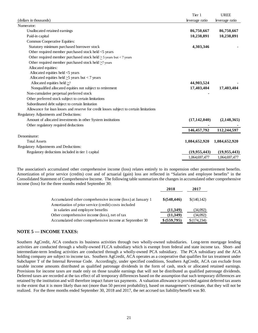|                                                                                        | Tier 1         | <b>UREE</b>    |
|----------------------------------------------------------------------------------------|----------------|----------------|
| (dollars in thousands)                                                                 | leverage ratio | leverage ratio |
| Numerator:                                                                             |                |                |
| Unallocated retained earnings                                                          | 86,750,667     | 86,750,667     |
| Paid-in capital                                                                        | 10,238,891     | 10,238,891     |
| Common Cooperative Equities:                                                           |                |                |
| Statutory minimum purchased borrower stock                                             | 4,303,346      |                |
| Other required member purchased stock held <5 years                                    |                |                |
| Other required member purchased stock held $>$ 5 years but < 7 years                   |                |                |
| Other required member purchased stock held >7 years                                    |                |                |
| Allocated equities:                                                                    |                |                |
| Allocated equities held <5 years                                                       |                |                |
| Allocated equities held $\geq$ 5 years but < 7 years                                   |                |                |
| Allocated equities held $\geq 7$                                                       | 44,903,524     |                |
| Nonqualified allocated equities not subject to retirement                              | 17,403,404     | 17,403,404     |
| Non-cumulative perpetual preferred stock                                               |                |                |
| Other preferred stock subject to certain limitations                                   |                |                |
| Subordinated debt subject to certain limitation                                        |                |                |
| Allowance for loan losses and reserve for credit losses subject to certain limitations |                |                |
| Regulatory Adjustments and Deductions:                                                 |                |                |
| Amount of allocated investments in other System institutions                           | (17, 142, 040) | (2,148,365)    |
| Other regulatory required deductions                                                   |                |                |
|                                                                                        | 146, 457, 792  | 112,244,597    |
| Denominator:                                                                           |                |                |
| <b>Total Assets</b>                                                                    | 1,084,652,920  | 1,084,652,920  |
| Regulatory Adjustments and Deductions:                                                 |                |                |
| Regulatory deductions included in tier 1 capital                                       | (19, 955, 443) | (19,955,443)   |
|                                                                                        | 1,064,697,477  | 1,064,697,477  |

The association's accumulated other comprehensive income (loss) relates entirely to its nonpension other postretirement benefits. Amortization of prior service (credits) cost and of actuarial (gain) loss are reflected in "Salaries and employee benefits" in the Consolidated Statement of Comprehensive Income. The following table summarizes the changes in accumulated other comprehensive income (loss) for the three months ended September 30:

|                                                                                                                     | 2018          | 2017         |
|---------------------------------------------------------------------------------------------------------------------|---------------|--------------|
| Accumulated other comprehensive income (loss) at January 1<br>Amortization of prior service (credit) costs included | \$ (548, 446) | \$(140, 142) |
| in salaries and employee benefits                                                                                   | (11,349)      | (34,092)     |
| Other comprehensive income (loss), net of tax                                                                       | (11,349)      | (34,092)     |
| Accumulated other comprehensive income at September 30                                                              | \$ (559,795)  | \$(174,234)  |

# **NOTE 5 — INCOME TAXES:**

Southern AgCredit, ACA conducts its business activities through two wholly-owned subsidiaries. Long-term mortgage lending activities are conducted through a wholly-owned FLCA subsidiary which is exempt from federal and state income tax. Short- and intermediate-term lending activities are conducted through a wholly-owned PCA subsidiary. The PCA subsidiary and the ACA holding company are subject to income tax. Southern AgCredit, ACA operates as a cooperative that qualifies for tax treatment under Subchapter T of the Internal Revenue Code. Accordingly, under specified conditions, Southern AgCredit, ACA can exclude from taxable income amounts distributed as qualified patronage dividends in the form of cash, stock or allocated retained earnings. Provisions for income taxes are made only on those taxable earnings that will not be distributed as qualified patronage dividends. Deferred taxes are recorded at the tax effect of all temporary differences based on the assumption that such temporary differences are retained by the institution and will therefore impact future tax payments. A valuation allowance is provided against deferred tax assets to the extent that it is more likely than not (more than 50 percent probability), based on management's estimate, that they will not be realized. For the three months ended September 30, 2018 and 2017, the net accrued tax liability/benefit was \$0.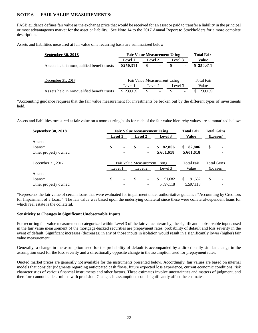# **NOTE 6 — FAIR VALUE MEASUREMENTS:**

FASB guidance defines fair value as the exchange price that would be received for an asset or paid to transfer a liability in the principal or most advantageous market for the asset or liability. See Note 14 to the 2017 Annual Report to Stockholders for a more complete description.

Assets and liabilities measured at fair value on a recurring basis are summarized below:

| September 30, 2018                         |           | <b>Fair Value Measurement Using</b> |         | <b>Total Fair</b> |
|--------------------------------------------|-----------|-------------------------------------|---------|-------------------|
|                                            | Level 1   | Level 2                             | Level 3 | <b>Value</b>      |
| Assets held in nonqualified benefit trusts | \$250,311 | \$                                  | S       | \$250,311         |
|                                            |           |                                     |         |                   |
| December 31, 2017                          |           | Fair Value Measurement Using        |         | <b>Total Fair</b> |
|                                            | Level 1   | Level 2                             | Level 3 | Value             |
| Assets held in nonqualified benefit trusts | \$239,159 | \$                                  | \$.     | 239.159<br>S      |

\*Accounting guidance requires that the fair value measurement for investments be broken out by the different types of investments held.

Assets and liabilities measured at fair value on a nonrecurring basis for each of the fair value hierarchy values are summarized below:

| September 30, 2018   | <b>Fair Value Measurement Using</b> |                          |               |                   |                   | <b>Total Fair</b>  | <b>Total Gains</b> |   |
|----------------------|-------------------------------------|--------------------------|---------------|-------------------|-------------------|--------------------|--------------------|---|
|                      | Level 1                             |                          | Level 2       |                   | Level 3           | <b>Value</b>       | (Losses)           |   |
| Assets:              |                                     |                          |               |                   |                   |                    |                    |   |
| $Loans*$             | \$                                  | $\blacksquare$           | \$            |                   | 82,806<br>\$      | 82,806<br>\$       | \$                 | - |
| Other property owned |                                     | ٠                        |               | ٠                 | 5,601,618         | 5,601,618          |                    | ٠ |
| December 31, 2017    | Fair Value Measurement Using        |                          |               |                   | <b>Total Fair</b> | <b>Total Gains</b> |                    |   |
|                      | Level 1                             |                          | Level 2       |                   | Level 3           | Value              | (Losses)           |   |
| Assets:              |                                     |                          |               |                   |                   |                    |                    |   |
| $Loans*$             | \$                                  | $\overline{\phantom{a}}$ | <sup>\$</sup> | $\qquad \qquad -$ | \$<br>91,682      | \$<br>91,682       | \$                 |   |
| Other property owned |                                     |                          |               |                   | 5,597,118         | 5,597,118          |                    | - |

\*Represents the fair value of certain loans that were evaluated for impairment under authoritative guidance "Accounting by Creditors for Impairment of a Loan." The fair value was based upon the underlying collateral since these were collateral-dependent loans for which real estate is the collateral.

# **Sensitivity to Changes in Significant Unobservable Inputs**

For recurring fair value measurements categorized within Level 3 of the fair value hierarchy, the significant unobservable inputs used in the fair value measurement of the mortgage-backed securities are prepayment rates, probability of default and loss severity in the event of default. Significant increases (decreases) in any of those inputs in isolation would result in a significantly lower (higher) fair value measurement.

Generally, a change in the assumption used for the probability of default is accompanied by a directionally similar change in the assumption used for the loss severity and a directionally opposite change in the assumption used for prepayment rates.

Quoted market prices are generally not available for the instruments presented below. Accordingly, fair values are based on internal models that consider judgments regarding anticipated cash flows, future expected loss experience, current economic conditions, risk characteristics of various financial instruments and other factors. These estimates involve uncertainties and matters of judgment, and therefore cannot be determined with precision. Changes in assumptions could significantly affect the estimates.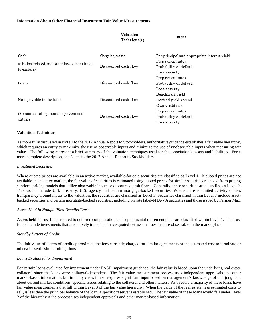## **Information About Other Financial Instrument Fair Value Measurements**

|                                            | Valuation<br>Technique(s) | Input                                        |  |
|--------------------------------------------|---------------------------|----------------------------------------------|--|
| Cash                                       | Carrying value            | Par/principal and appropriate interest yield |  |
| Mission-related and other investment held- |                           | Prepayment rates                             |  |
| to-maturity                                | Discounted cash flow      | Probability of default                       |  |
|                                            |                           | Loss severity                                |  |
|                                            |                           | Prepayment rates                             |  |
| Loans                                      | Discounted cash flow      | Probability of default                       |  |
|                                            |                           | Loss severity                                |  |
|                                            |                           | Benchmark yield                              |  |
| Note payable to the bank                   | Discounted cash flow      | Derived yield spread                         |  |
|                                            |                           | Own credit risk                              |  |
|                                            |                           | Prepayment rates                             |  |
| Guaranteed obligations to government       | Discounted cash flow      | Probability of default                       |  |
| entities                                   |                           | Loss severity                                |  |

### **Valuation Techniques**

As more fully discussed in Note 2 to the 2017 Annual Report to Stockholders, authoritative guidance establishes a fair value hierarchy, which requires an entity to maximize the use of observable inputs and minimize the use of unobservable inputs when measuring fair value. The following represent a brief summary of the valuation techniques used for the association's assets and liabilities. For a more complete description, see Notes to the 2017 Annual Report to Stockholders.

#### *Investment Securities*

Where quoted prices are available in an active market, available-for-sale securities are classified as Level 1. If quoted prices are not available in an active market, the fair value of securities is estimated using quoted prices for similar securities received from pricing services, pricing models that utilize observable inputs or discounted cash flows. Generally, these securities are classified as Level 2. This would include U.S. Treasury, U.S. agency and certain mortgage-backed securities. Where there is limited activity or less transparency around inputs to the valuation, the securities are classified as Level 3. Securities classified within Level 3 include assetbacked securities and certain mortgage-backed securities, including private label-FHA/VA securities and those issued by Farmer Mac.

### *Assets Held in Nonqualified Benefits Trusts*

Assets held in trust funds related to deferred compensation and supplemental retirement plans are classified within Level 1. The trust funds include investments that are actively traded and have quoted net asset values that are observable in the marketplace.

### *Standby Letters of Credit*

The fair value of letters of credit approximate the fees currently charged for similar agreements or the estimated cost to terminate or otherwise settle similar obligations.

### *Loans Evaluated for Impairment*

For certain loans evaluated for impairment under FASB impairment guidance, the fair value is based upon the underlying real estate collateral since the loans were collateral-dependent. The fair value measurement process uses independent appraisals and other market-based information, but in many cases it also requires significant input based on management's knowledge of and judgment about current market conditions, specific issues relating to the collateral and other matters. As a result, a majority of these loans have fair value measurements that fall within Level 3 of the fair value hierarchy. When the value of the real estate, less estimated costs to sell, is less than the principal balance of the loan, a specific reserve is established. The fair value of these loans would fall under Level 2 of the hierarchy if the process uses independent appraisals and other market-based information.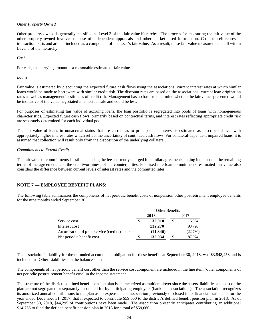## *Other Property Owned*

Other property owned is generally classified as Level 3 of the fair value hierarchy. The process for measuring the fair value of the other property owned involves the use of independent appraisals and other market-based information. Costs to sell represent transaction costs and are not included as a component of the asset's fair value. As a result, these fair value measurements fall within Level 3 of the hierarchy.

*Cash* 

For cash, the carrying amount is a reasonable estimate of fair value.

*Loans* 

Fair value is estimated by discounting the expected future cash flows using the associations' current interest rates at which similar loans would be made to borrowers with similar credit risk. The discount rates are based on the associations' current loan origination rates as well as management's estimates of credit risk. Management has no basis to determine whether the fair values presented would be indicative of the value negotiated in an actual sale and could be less.

For purposes of estimating fair value of accruing loans, the loan portfolio is segregated into pools of loans with homogeneous characteristics. Expected future cash flows, primarily based on contractual terms, and interest rates reflecting appropriate credit risk are separately determined for each individual pool.

The fair value of loans in nonaccrual status that are current as to principal and interest is estimated as described above, with appropriately higher interest rates which reflect the uncertainty of continued cash flows. For collateral-dependent impaired loans, it is assumed that collection will result only from the disposition of the underlying collateral.

## *Commitments to Extend Credit*

The fair value of commitments is estimated using the fees currently charged for similar agreements, taking into account the remaining terms of the agreements and the creditworthiness of the counterparties. For fixed-rate loan commitments, estimated fair value also considers the difference between current levels of interest rates and the committed rates.

# **NOTE 7 — EMPLOYEE BENEFIT PLANS:**

The following table summarizes the components of net periodic benefit costs of nonpension other postretirement employee benefits for the nine months ended September 30:

|                                               | Other Benefits |          |      |           |
|-----------------------------------------------|----------------|----------|------|-----------|
|                                               | 2018           |          | 2017 |           |
| Service cost                                  |                | 32,010   |      | 16,984    |
| Interest cost                                 |                | 112,270  |      | 93.720    |
| Amortization of prior service (credits) costs |                | (11,346) |      | (22, 730) |
| Net periodic benefit cost                     |                | 132,934  |      | 7.974     |

The association's liability for the unfunded accumulated obligation for these benefits at September 30, 2018, was \$3,848,458 and is included in "Other Liabilities" in the balance sheet.

The components of net periodic benefit cost other than the service cost component are included in the line item "other components of net periodic postretirement benefit cost" in the income statement.

The structure of the district's defined benefit pension plan is characterized as multiemployer since the assets, liabilities and cost of the plan are not segregated or separately accounted for by participating employers (bank and associations). The association recognizes its amortized annual contributions to the plan as an expense. The association previously disclosed in its financial statements for the year ended December 31, 2017, that it expected to contribute \$59,060 to the district's defined benefit pension plan in 2018. As of September 30, 2018, \$44,295 of contributions have been made. The association presently anticipates contributing an additional \$14,765 to fund the defined benefit pension plan in 2018 for a total of \$59,060.